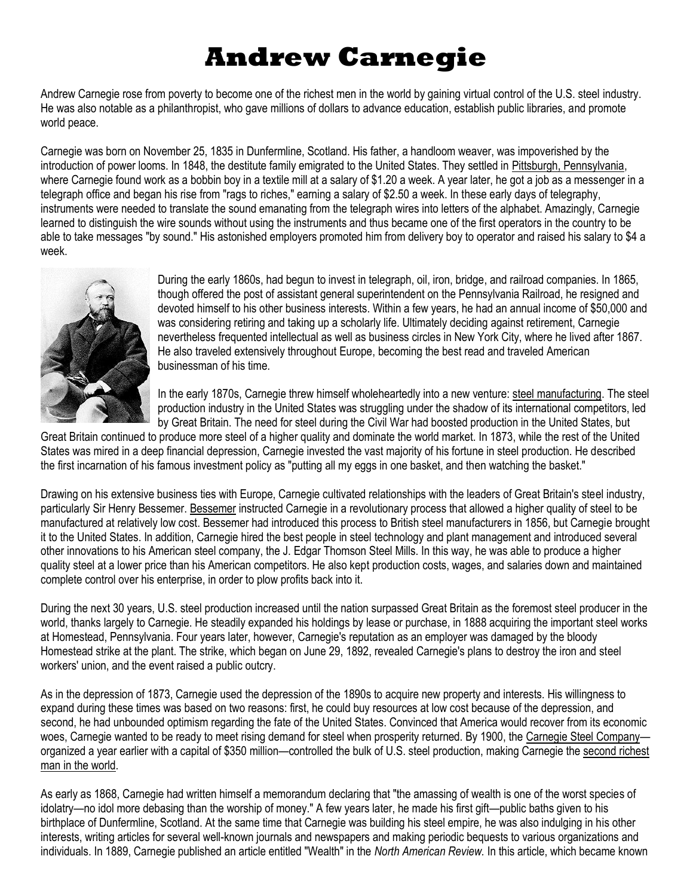# **Andrew Carnegie**

Andrew Carnegie rose from poverty to become one of the richest men in the world by gaining virtual control of the U.S. steel industry. He was also notable as a philanthropist, who gave millions of dollars to advance education, establish public libraries, and promote world peace.

Carnegie was born on November 25, 1835 in Dunfermline, Scotland. His father, a handloom weaver, was impoverished by the introduction of power looms. In 1848, the destitute family emigrated to the United States. They settled in Pittsburgh, Pennsylvania, where Carnegie found work as a bobbin boy in a textile mill at a salary of \$1.20 a week. A year later, he got a job as a messenger in a telegraph office and began his rise from "rags to riches," earning a salary of \$2.50 a week. In these early days of telegraphy, instruments were needed to translate the sound emanating from the telegraph wires into letters of the alphabet. Amazingly, Carnegie learned to distinguish the wire sounds without using the instruments and thus became one of the first operators in the country to be able to take messages "by sound." His astonished employers promoted him from delivery boy to operator and raised his salary to \$4 a week.



During the early 1860s, had begun to invest in telegraph, oil, iron, bridge, and railroad companies. In 1865, though offered the post of assistant general superintendent on the Pennsylvania Railroad, he resigned and devoted himself to his other business interests. Within a few years, he had an annual income of \$50,000 and was considering retiring and taking up a scholarly life. Ultimately deciding against retirement, Carnegie nevertheless frequented intellectual as well as business circles in New York City, where he lived after 1867. He also traveled extensively throughout Europe, becoming the best read and traveled American businessman of his time.

In the early 1870s, Carnegie threw himself wholeheartedly into a new venture: steel manufacturing. The steel production industry in the United States was struggling under the shadow of its international competitors, led by Great Britain. The need for steel during the Civil War had boosted production in the United States, but

Great Britain continued to produce more steel of a higher quality and dominate the world market. In 1873, while the rest of the United States was mired in a deep financial depression, Carnegie invested the vast majority of his fortune in steel production. He described the first incarnation of his famous investment policy as "putting all my eggs in one basket, and then watching the basket."

Drawing on his extensive business ties with Europe, Carnegie cultivated relationships with the leaders of Great Britain's steel industry, particularly Sir Henry Bessemer. Bessemer instructed Carnegie in a revolutionary process that allowed a higher quality of steel to be manufactured at relatively low cost. Bessemer had introduced this process to British steel manufacturers in 1856, but Carnegie brought it to the United States. In addition, Carnegie hired the best people in steel technology and plant management and introduced several other innovations to his American steel company, the J. Edgar Thomson Steel Mills. In this way, he was able to produce a higher quality steel at a lower price than his American competitors. He also kept production costs, wages, and salaries down and maintained complete control over his enterprise, in order to plow profits back into it.

During the next 30 years, U.S. steel production increased until the nation surpassed Great Britain as the foremost steel producer in the world, thanks largely to Carnegie. He steadily expanded his holdings by lease or purchase, in 1888 acquiring the important steel works at Homestead, Pennsylvania. Four years later, however, Carnegie's reputation as an employer was damaged by the bloody Homestead strike at the plant. The strike, which began on June 29, 1892, revealed Carnegie's plans to destroy the iron and steel workers' union, and the event raised a public outcry.

As in the depression of 1873, Carnegie used the depression of the 1890s to acquire new property and interests. His willingness to expand during these times was based on two reasons: first, he could buy resources at low cost because of the depression, and second, he had unbounded optimism regarding the fate of the United States. Convinced that America would recover from its economic woes, Carnegie wanted to be ready to meet rising demand for steel when prosperity returned. By 1900, the Carnegie Steel Company organized a year earlier with a capital of \$350 million—controlled the bulk of U.S. steel production, making Carnegie the second richest man in the world.

As early as 1868, Carnegie had written himself a memorandum declaring that "the amassing of wealth is one of the worst species of idolatry—no idol more debasing than the worship of money." A few years later, he made his first gift—public baths given to his birthplace of Dunfermline, Scotland. At the same time that Carnegie was building his steel empire, he was also indulging in his other interests, writing articles for several well-known journals and newspapers and making periodic bequests to various organizations and individuals. In 1889, Carnegie published an article entitled "Wealth" in the *North American Review.* In this article, which became known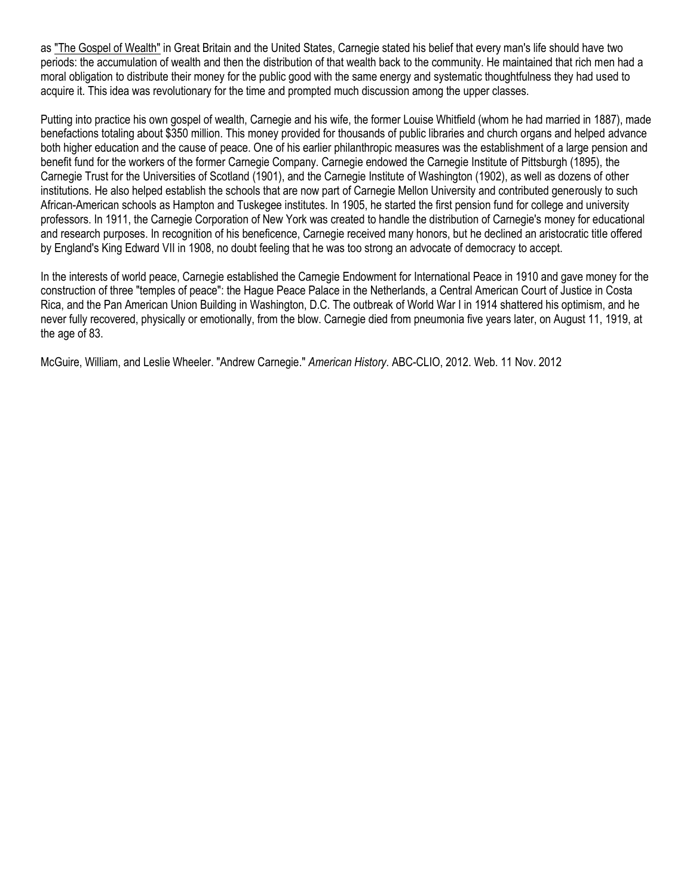as "The Gospel of Wealth" in Great Britain and the United States, Carnegie stated his belief that every man's life should have two periods: the accumulation of wealth and then the distribution of that wealth back to the community. He maintained that rich men had a moral obligation to distribute their money for the public good with the same energy and systematic thoughtfulness they had used to acquire it. This idea was revolutionary for the time and prompted much discussion among the upper classes.

Putting into practice his own gospel of wealth, Carnegie and his wife, the former Louise Whitfield (whom he had married in 1887), made benefactions totaling about \$350 million. This money provided for thousands of public libraries and church organs and helped advance both higher education and the cause of peace. One of his earlier philanthropic measures was the establishment of a large pension and benefit fund for the workers of the former Carnegie Company. Carnegie endowed the Carnegie Institute of Pittsburgh (1895), the Carnegie Trust for the Universities of Scotland (1901), and the Carnegie Institute of Washington (1902), as well as dozens of other institutions. He also helped establish the schools that are now part of Carnegie Mellon University and contributed generously to such African-American schools as Hampton and Tuskegee institutes. In 1905, he started the first pension fund for college and university professors. In 1911, the Carnegie Corporation of New York was created to handle the distribution of Carnegie's money for educational and research purposes. In recognition of his beneficence, Carnegie received many honors, but he declined an aristocratic title offered by England's King Edward VII in 1908, no doubt feeling that he was too strong an advocate of democracy to accept.

In the interests of world peace, Carnegie established the Carnegie Endowment for International Peace in 1910 and gave money for the construction of three "temples of peace": the Hague Peace Palace in the Netherlands, a Central American Court of Justice in Costa Rica, and the Pan American Union Building in Washington, D.C. The outbreak of World War I in 1914 shattered his optimism, and he never fully recovered, physically or emotionally, from the blow. Carnegie died from pneumonia five years later, on August 11, 1919, at the age of 83.

McGuire, William, and Leslie Wheeler. "Andrew Carnegie." *American History*. ABC-CLIO, 2012. Web. 11 Nov. 2012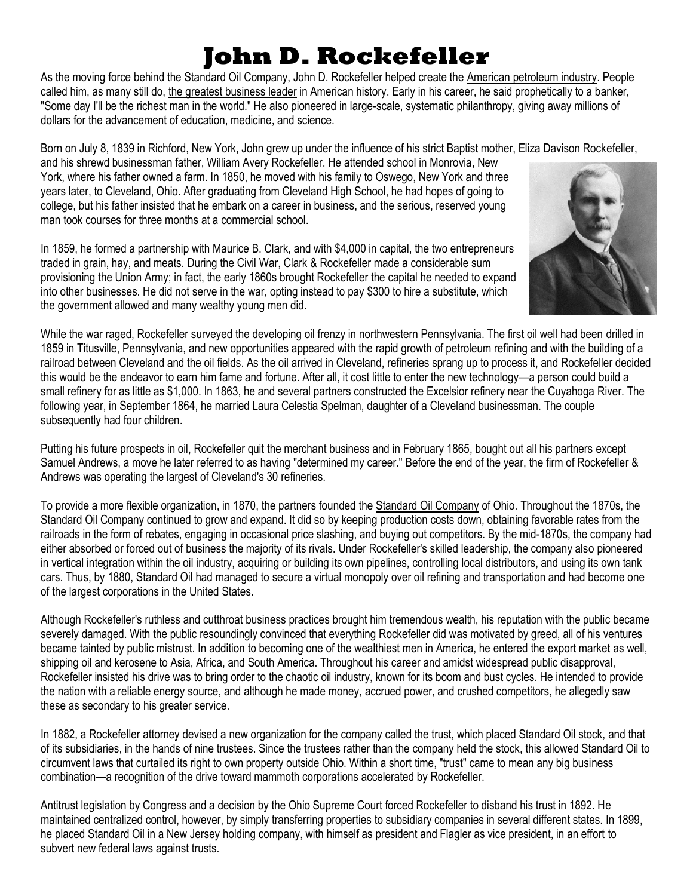## **John D. Rockefeller**

As the moving force behind the Standard Oil Company, John D. Rockefeller helped create the American petroleum industry. People called him, as many still do, the greatest business leader in American history. Early in his career, he said prophetically to a banker, "Some day I'll be the richest man in the world." He also pioneered in large-scale, systematic philanthropy, giving away millions of dollars for the advancement of education, medicine, and science.

Born on July 8, 1839 in Richford, New York, John grew up under the influence of his strict Baptist mother, Eliza Davison Rockefeller,

and his shrewd businessman father, William Avery Rockefeller. He attended school in Monrovia, New York, where his father owned a farm. In 1850, he moved with his family to Oswego, New York and three years later, to Cleveland, Ohio. After graduating from Cleveland High School, he had hopes of going to college, but his father insisted that he embark on a career in business, and the serious, reserved young man took courses for three months at a commercial school.

In 1859, he formed a partnership with Maurice B. Clark, and with \$4,000 in capital, the two entrepreneurs traded in grain, hay, and meats. During the Civil War, Clark & Rockefeller made a considerable sum provisioning the Union Army; in fact, the early 1860s brought Rockefeller the capital he needed to expand into other businesses. He did not serve in the war, opting instead to pay \$300 to hire a substitute, which the government allowed and many wealthy young men did.



While the war raged, Rockefeller surveyed the developing oil frenzy in northwestern Pennsylvania. The first oil well had been drilled in 1859 in Titusville, Pennsylvania, and new opportunities appeared with the rapid growth of petroleum refining and with the building of a railroad between Cleveland and the oil fields. As the oil arrived in Cleveland, refineries sprang up to process it, and Rockefeller decided this would be the endeavor to earn him fame and fortune. After all, it cost little to enter the new technology—a person could build a small refinery for as little as \$1,000. In 1863, he and several partners constructed the Excelsior refinery near the Cuyahoga River. The following year, in September 1864, he married Laura Celestia Spelman, daughter of a Cleveland businessman. The couple subsequently had four children.

Putting his future prospects in oil, Rockefeller quit the merchant business and in February 1865, bought out all his partners except Samuel Andrews, a move he later referred to as having "determined my career." Before the end of the year, the firm of Rockefeller & Andrews was operating the largest of Cleveland's 30 refineries.

To provide a more flexible organization, in 1870, the partners founded the Standard Oil Company of Ohio. Throughout the 1870s, the Standard Oil Company continued to grow and expand. It did so by keeping production costs down, obtaining favorable rates from the railroads in the form of rebates, engaging in occasional price slashing, and buying out competitors. By the mid-1870s, the company had either absorbed or forced out of business the majority of its rivals. Under Rockefeller's skilled leadership, the company also pioneered in vertical integration within the oil industry, acquiring or building its own pipelines, controlling local distributors, and using its own tank cars. Thus, by 1880, Standard Oil had managed to secure a virtual monopoly over oil refining and transportation and had become one of the largest corporations in the United States.

Although Rockefeller's ruthless and cutthroat business practices brought him tremendous wealth, his reputation with the public became severely damaged. With the public resoundingly convinced that everything Rockefeller did was motivated by greed, all of his ventures became tainted by public mistrust. In addition to becoming one of the wealthiest men in America, he entered the export market as well, shipping oil and kerosene to Asia, Africa, and South America. Throughout his career and amidst widespread public disapproval, Rockefeller insisted his drive was to bring order to the chaotic oil industry, known for its boom and bust cycles. He intended to provide the nation with a reliable energy source, and although he made money, accrued power, and crushed competitors, he allegedly saw these as secondary to his greater service.

In 1882, a Rockefeller attorney devised a new organization for the company called the trust, which placed Standard Oil stock, and that of its subsidiaries, in the hands of nine trustees. Since the trustees rather than the company held the stock, this allowed Standard Oil to circumvent laws that curtailed its right to own property outside Ohio. Within a short time, "trust" came to mean any big business combination—a recognition of the drive toward mammoth corporations accelerated by Rockefeller.

Antitrust legislation by Congress and a decision by the Ohio Supreme Court forced Rockefeller to disband his trust in 1892. He maintained centralized control, however, by simply transferring properties to subsidiary companies in several different states. In 1899, he placed Standard Oil in a New Jersey holding company, with himself as president and Flagler as vice president, in an effort to subvert new federal laws against trusts.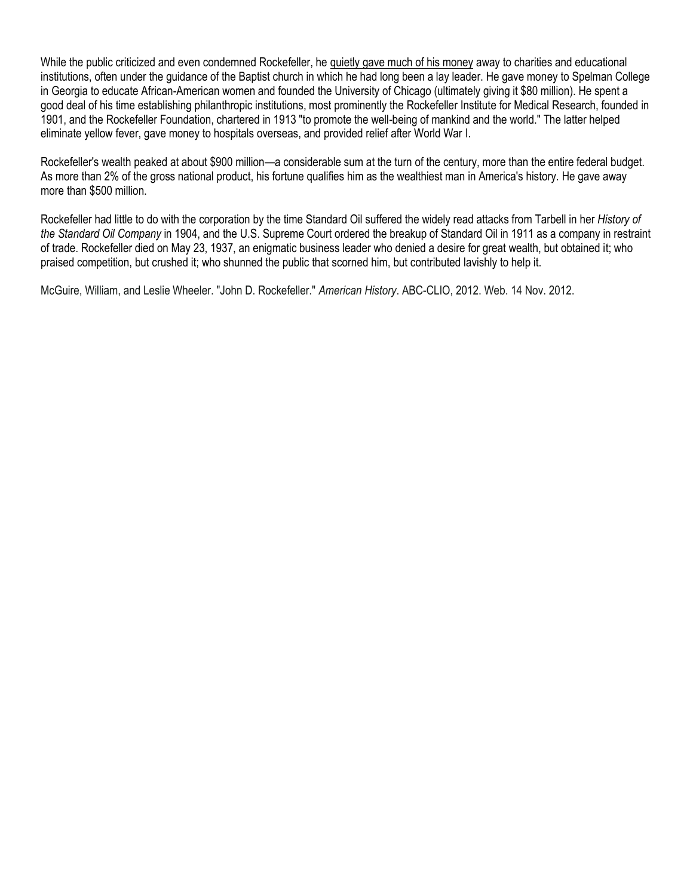While the public criticized and even condemned Rockefeller, he quietly gave much of his money away to charities and educational institutions, often under the guidance of the Baptist church in which he had long been a lay leader. He gave money to Spelman College in Georgia to educate African-American women and founded the University of Chicago (ultimately giving it \$80 million). He spent a good deal of his time establishing philanthropic institutions, most prominently the Rockefeller Institute for Medical Research, founded in 1901, and the Rockefeller Foundation, chartered in 1913 "to promote the well-being of mankind and the world." The latter helped eliminate yellow fever, gave money to hospitals overseas, and provided relief after World War I.

Rockefeller's wealth peaked at about \$900 million—a considerable sum at the turn of the century, more than the entire federal budget. As more than 2% of the gross national product, his fortune qualifies him as the wealthiest man in America's history. He gave away more than \$500 million.

Rockefeller had little to do with the corporation by the time Standard Oil suffered the widely read attacks from Tarbell in her *History of the Standard Oil Company* in 1904, and the U.S. Supreme Court ordered the breakup of Standard Oil in 1911 as a company in restraint of trade. Rockefeller died on May 23, 1937, an enigmatic business leader who denied a desire for great wealth, but obtained it; who praised competition, but crushed it; who shunned the public that scorned him, but contributed lavishly to help it.

McGuire, William, and Leslie Wheeler. "John D. Rockefeller." *American History*. ABC-CLIO, 2012. Web. 14 Nov. 2012.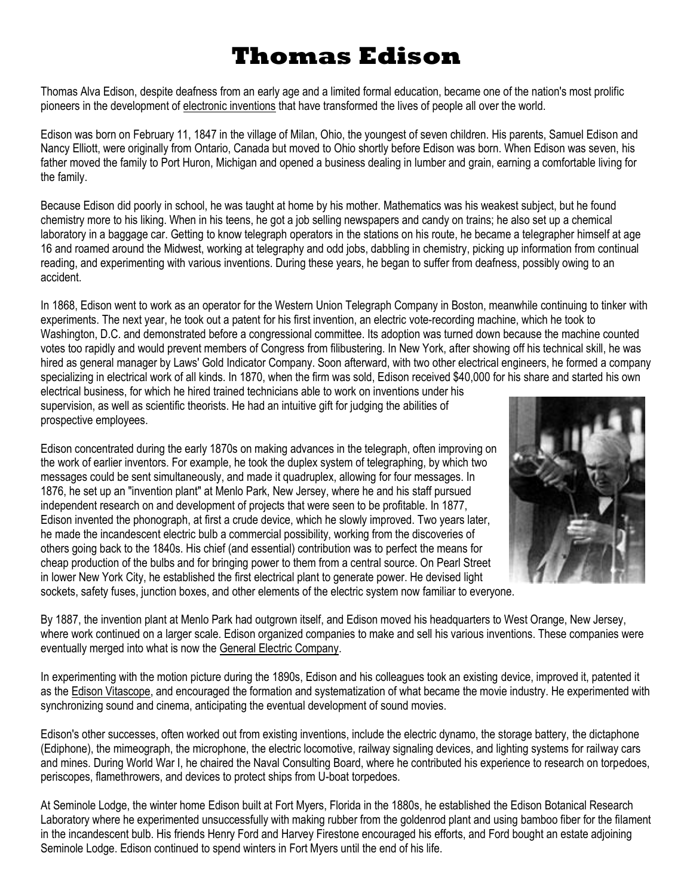#### **Thomas Edison**

Thomas Alva Edison, despite deafness from an early age and a limited formal education, became one of the nation's most prolific pioneers in the development of electronic inventions that have transformed the lives of people all over the world.

Edison was born on February 11, 1847 in the village of Milan, Ohio, the youngest of seven children. His parents, Samuel Edison and Nancy Elliott, were originally from Ontario, Canada but moved to Ohio shortly before Edison was born. When Edison was seven, his father moved the family to Port Huron, Michigan and opened a business dealing in lumber and grain, earning a comfortable living for the family.

Because Edison did poorly in school, he was taught at home by his mother. Mathematics was his weakest subject, but he found chemistry more to his liking. When in his teens, he got a job selling newspapers and candy on trains; he also set up a chemical laboratory in a baggage car. Getting to know telegraph operators in the stations on his route, he became a telegrapher himself at age 16 and roamed around the Midwest, working at telegraphy and odd jobs, dabbling in chemistry, picking up information from continual reading, and experimenting with various inventions. During these years, he began to suffer from deafness, possibly owing to an accident.

In 1868, Edison went to work as an operator for the Western Union Telegraph Company in Boston, meanwhile continuing to tinker with experiments. The next year, he took out a patent for his first invention, an electric vote-recording machine, which he took to Washington, D.C. and demonstrated before a congressional committee. Its adoption was turned down because the machine counted votes too rapidly and would prevent members of Congress from filibustering. In New York, after showing off his technical skill, he was hired as general manager by Laws' Gold Indicator Company. Soon afterward, with two other electrical engineers, he formed a company specializing in electrical work of all kinds. In 1870, when the firm was sold, Edison received \$40,000 for his share and started his own electrical business, for which he hired trained technicians able to work on inventions under his

supervision, as well as scientific theorists. He had an intuitive gift for judging the abilities of prospective employees.

Edison concentrated during the early 1870s on making advances in the telegraph, often improving on the work of earlier inventors. For example, he took the duplex system of telegraphing, by which two messages could be sent simultaneously, and made it quadruplex, allowing for four messages. In 1876, he set up an "invention plant" at Menlo Park, New Jersey, where he and his staff pursued independent research on and development of projects that were seen to be profitable. In 1877, Edison invented the phonograph, at first a crude device, which he slowly improved. Two years later, he made the incandescent electric bulb a commercial possibility, working from the discoveries of others going back to the 1840s. His chief (and essential) contribution was to perfect the means for cheap production of the bulbs and for bringing power to them from a central source. On Pearl Street in lower New York City, he established the first electrical plant to generate power. He devised light sockets, safety fuses, junction boxes, and other elements of the electric system now familiar to everyone.



By 1887, the invention plant at Menlo Park had outgrown itself, and Edison moved his headquarters to West Orange, New Jersey, where work continued on a larger scale. Edison organized companies to make and sell his various inventions. These companies were eventually merged into what is now the General Electric Company.

In experimenting with the motion picture during the 1890s, Edison and his colleagues took an existing device, improved it, patented it as the Edison Vitascope, and encouraged the formation and systematization of what became the movie industry. He experimented with synchronizing sound and cinema, anticipating the eventual development of sound movies.

Edison's other successes, often worked out from existing inventions, include the electric dynamo, the storage battery, the dictaphone (Ediphone), the mimeograph, the microphone, the electric locomotive, railway signaling devices, and lighting systems for railway cars and mines. During World War I, he chaired the Naval Consulting Board, where he contributed his experience to research on torpedoes, periscopes, flamethrowers, and devices to protect ships from U-boat torpedoes.

At Seminole Lodge, the winter home Edison built at Fort Myers, Florida in the 1880s, he established the Edison Botanical Research Laboratory where he experimented unsuccessfully with making rubber from the goldenrod plant and using bamboo fiber for the filament in the incandescent bulb. His friends Henry Ford and Harvey Firestone encouraged his efforts, and Ford bought an estate adjoining Seminole Lodge. Edison continued to spend winters in Fort Myers until the end of his life.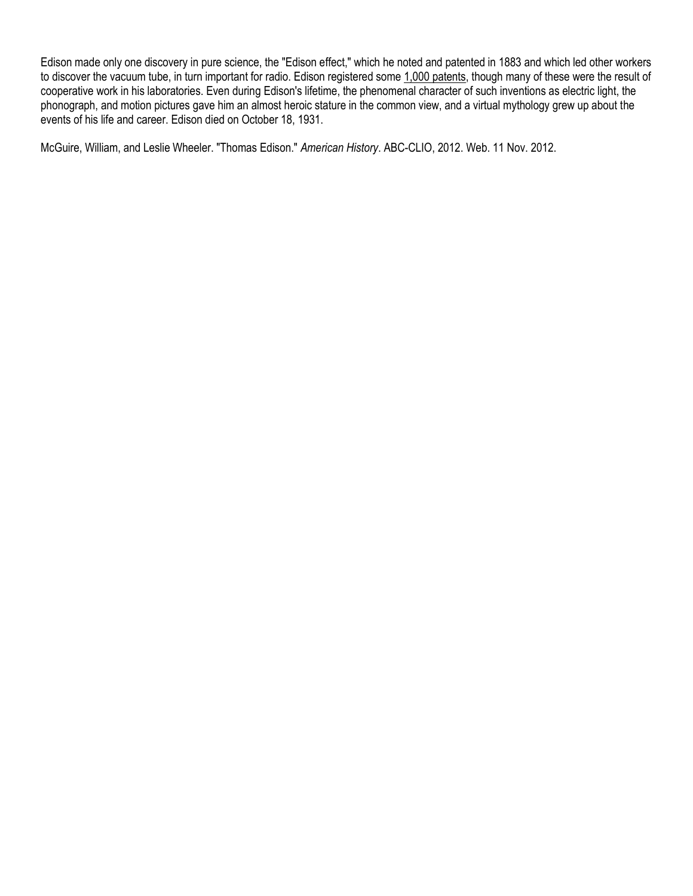Edison made only one discovery in pure science, the "Edison effect," which he noted and patented in 1883 and which led other workers to discover the vacuum tube, in turn important for radio. Edison registered some 1,000 patents, though many of these were the result of cooperative work in his laboratories. Even during Edison's lifetime, the phenomenal character of such inventions as electric light, the phonograph, and motion pictures gave him an almost heroic stature in the common view, and a virtual mythology grew up about the events of his life and career. Edison died on October 18, 1931.

McGuire, William, and Leslie Wheeler. "Thomas Edison." *American History*. ABC-CLIO, 2012. Web. 11 Nov. 2012.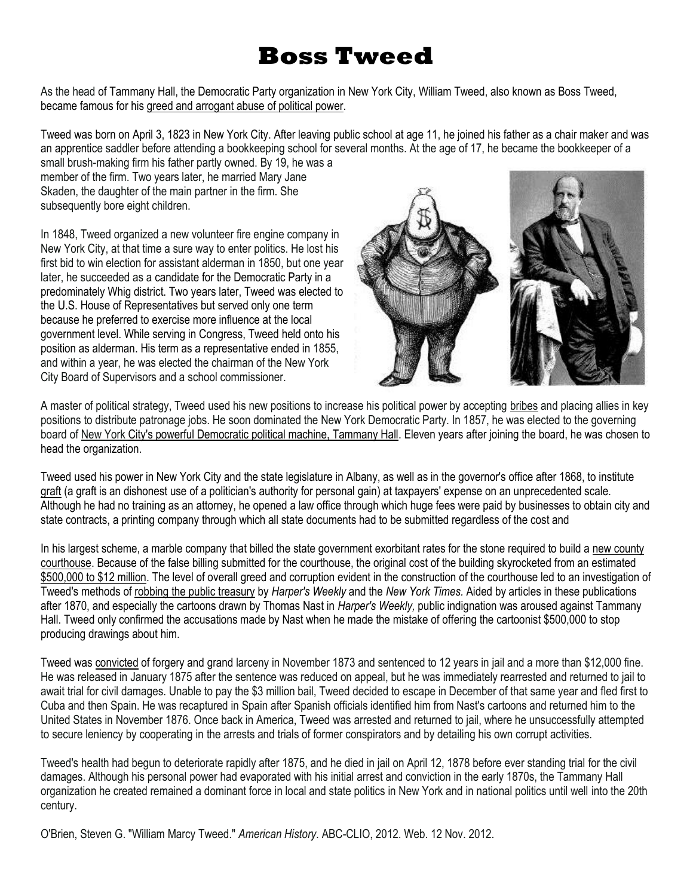### **Boss Tweed**

As the head of Tammany Hall, the Democratic Party organization in New York City, William Tweed, also known as Boss Tweed, became famous for his greed and arrogant abuse of political power.

Tweed was born on April 3, 1823 in New York City. After leaving public school at age 11, he joined his father as a chair maker and was an apprentice saddler before attending a bookkeeping school for several months. At the age of 17, he became the bookkeeper of a small brush-making firm his father partly owned. By 19, he was a

member of the firm. Two years later, he married Mary Jane Skaden, the daughter of the main partner in the firm. She subsequently bore eight children.

In 1848, Tweed organized a new volunteer fire engine company in New York City, at that time a sure way to enter politics. He lost his first bid to win election for assistant alderman in 1850, but one year later, he succeeded as a candidate for the Democratic Party in a predominately Whig district. Two years later, Tweed was elected to the U.S. House of Representatives but served only one term because he preferred to exercise more influence at the local government level. While serving in Congress, Tweed held onto his position as alderman. His term as a representative ended in 1855, and within a year, he was elected the chairman of the New York City Board of Supervisors and a school commissioner.



A master of political strategy, Tweed used his new positions to increase his political power by accepting bribes and placing allies in key positions to distribute patronage jobs. He soon dominated the New York Democratic Party. In 1857, he was elected to the governing board of New York City's powerful Democratic political machine, Tammany Hall. Eleven years after joining the board, he was chosen to head the organization.

Tweed used his power in New York City and the state legislature in Albany, as well as in the governor's office after 1868, to institute graft (a graft is an dishonest use of a politician's authority for personal gain) at taxpayers' expense on an unprecedented scale. Although he had no training as an attorney, he opened a law office through which huge fees were paid by businesses to obtain city and state contracts, a printing company through which all state documents had to be submitted regardless of the cost and

In his largest scheme, a marble company that billed the state government exorbitant rates for the stone required to build a new county courthouse. Because of the false billing submitted for the courthouse, the original cost of the building skyrocketed from an estimated \$500,000 to \$12 million. The level of overall greed and corruption evident in the construction of the courthouse led to an investigation of Tweed's methods of robbing the public treasury by *Harper's Weekly* and the *New York Times.* Aided by articles in these publications after 1870, and especially the cartoons drawn by Thomas Nast in *Harper's Weekly,* public indignation was aroused against Tammany Hall. Tweed only confirmed the accusations made by Nast when he made the mistake of offering the cartoonist \$500,000 to stop producing drawings about him.

Tweed was convicted of forgery and grand larceny in November 1873 and sentenced to 12 years in jail and a more than \$12,000 fine. He was released in January 1875 after the sentence was reduced on appeal, but he was immediately rearrested and returned to jail to await trial for civil damages. Unable to pay the \$3 million bail, Tweed decided to escape in December of that same year and fled first to Cuba and then Spain. He was recaptured in Spain after Spanish officials identified him from Nast's cartoons and returned him to the United States in November 1876. Once back in America, Tweed was arrested and returned to jail, where he unsuccessfully attempted to secure leniency by cooperating in the arrests and trials of former conspirators and by detailing his own corrupt activities.

Tweed's health had begun to deteriorate rapidly after 1875, and he died in jail on April 12, 1878 before ever standing trial for the civil damages. Although his personal power had evaporated with his initial arrest and conviction in the early 1870s, the Tammany Hall organization he created remained a dominant force in local and state politics in New York and in national politics until well into the 20th century.

O'Brien, Steven G. "William Marcy Tweed." *American History*. ABC-CLIO, 2012. Web. 12 Nov. 2012.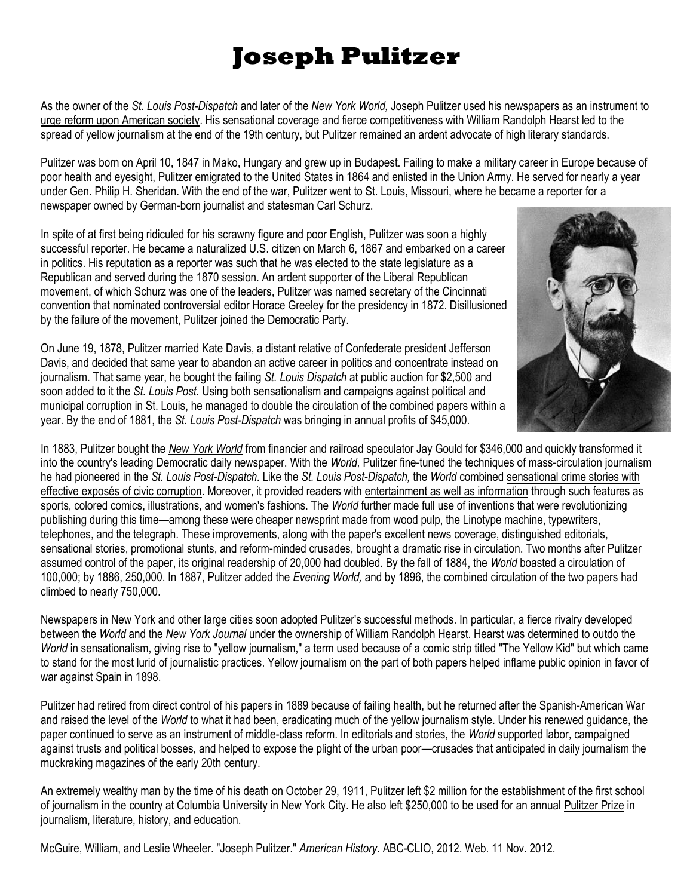### **Joseph Pulitzer**

As the owner of the *St. Louis Post-Dispatch* and later of the *New York World,* Joseph Pulitzer used his newspapers as an instrument to urge reform upon American society. His sensational coverage and fierce competitiveness with William Randolph Hearst led to the spread of yellow journalism at the end of the 19th century, but Pulitzer remained an ardent advocate of high literary standards.

Pulitzer was born on April 10, 1847 in Mako, Hungary and grew up in Budapest. Failing to make a military career in Europe because of poor health and eyesight, Pulitzer emigrated to the United States in 1864 and enlisted in the Union Army. He served for nearly a year under Gen. Philip H. Sheridan. With the end of the war, Pulitzer went to St. Louis, Missouri, where he became a reporter for a newspaper owned by German-born journalist and statesman Carl Schurz.

In spite of at first being ridiculed for his scrawny figure and poor English, Pulitzer was soon a highly successful reporter. He became a naturalized U.S. citizen on March 6, 1867 and embarked on a career in politics. His reputation as a reporter was such that he was elected to the state legislature as a Republican and served during the 1870 session. An ardent supporter of the Liberal Republican movement, of which Schurz was one of the leaders, Pulitzer was named secretary of the Cincinnati convention that nominated controversial editor Horace Greeley for the presidency in 1872. Disillusioned by the failure of the movement, Pulitzer joined the Democratic Party.

On June 19, 1878, Pulitzer married Kate Davis, a distant relative of Confederate president Jefferson Davis, and decided that same year to abandon an active career in politics and concentrate instead on journalism. That same year, he bought the failing *St. Louis Dispatch* at public auction for \$2,500 and soon added to it the *St. Louis Post.* Using both sensationalism and campaigns against political and municipal corruption in St. Louis, he managed to double the circulation of the combined papers within a year. By the end of 1881, the *St. Louis Post-Dispatch* was bringing in annual profits of \$45,000.



Newspapers in New York and other large cities soon adopted Pulitzer's successful methods. In particular, a fierce rivalry developed between the *World* and the *New York Journal* under the ownership of William Randolph Hearst. Hearst was determined to outdo the *World* in sensationalism, giving rise to "yellow journalism," a term used because of a comic strip titled "The Yellow Kid" but which came to stand for the most lurid of journalistic practices. Yellow journalism on the part of both papers helped inflame public opinion in favor of war against Spain in 1898.

Pulitzer had retired from direct control of his papers in 1889 because of failing health, but he returned after the Spanish-American War and raised the level of the *World* to what it had been, eradicating much of the yellow journalism style. Under his renewed guidance, the paper continued to serve as an instrument of middle-class reform. In editorials and stories, the *World* supported labor, campaigned against trusts and political bosses, and helped to expose the plight of the urban poor—crusades that anticipated in daily journalism the muckraking magazines of the early 20th century.

An extremely wealthy man by the time of his death on October 29, 1911, Pulitzer left \$2 million for the establishment of the first school of journalism in the country at Columbia University in New York City. He also left \$250,000 to be used for an annual Pulitzer Prize in journalism, literature, history, and education.

McGuire, William, and Leslie Wheeler. "Joseph Pulitzer." *American History*. ABC-CLIO, 2012. Web. 11 Nov. 2012.

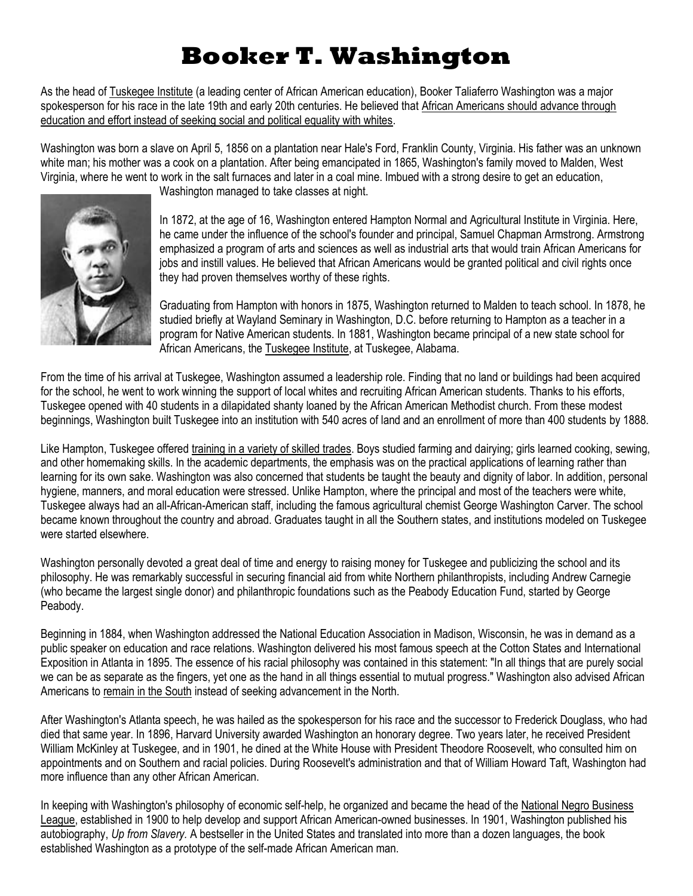### **Booker T. Washington**

As the head of Tuskegee Institute (a leading center of African American education), Booker Taliaferro Washington was a major spokesperson for his race in the late 19th and early 20th centuries. He believed that African Americans should advance through education and effort instead of seeking social and political equality with whites.

Washington was born a slave on April 5, 1856 on a plantation near Hale's Ford, Franklin County, Virginia. His father was an unknown white man; his mother was a cook on a plantation. After being emancipated in 1865, Washington's family moved to Malden, West Virginia, where he went to work in the salt furnaces and later in a coal mine. Imbued with a strong desire to get an education,



Washington managed to take classes at night.

In 1872, at the age of 16, Washington entered Hampton Normal and Agricultural Institute in Virginia. Here, he came under the influence of the school's founder and principal, Samuel Chapman Armstrong. Armstrong emphasized a program of arts and sciences as well as industrial arts that would train African Americans for jobs and instill values. He believed that African Americans would be granted political and civil rights once they had proven themselves worthy of these rights.

Graduating from Hampton with honors in 1875, Washington returned to Malden to teach school. In 1878, he studied briefly at Wayland Seminary in Washington, D.C. before returning to Hampton as a teacher in a program for Native American students. In 1881, Washington became principal of a new state school for African Americans, the Tuskegee Institute, at Tuskegee, Alabama.

From the time of his arrival at Tuskegee, Washington assumed a leadership role. Finding that no land or buildings had been acquired for the school, he went to work winning the support of local whites and recruiting African American students. Thanks to his efforts, Tuskegee opened with 40 students in a dilapidated shanty loaned by the African American Methodist church. From these modest beginnings, Washington built Tuskegee into an institution with 540 acres of land and an enrollment of more than 400 students by 1888.

Like Hampton, Tuskegee offered training in a variety of skilled trades. Boys studied farming and dairying; girls learned cooking, sewing, and other homemaking skills. In the academic departments, the emphasis was on the practical applications of learning rather than learning for its own sake. Washington was also concerned that students be taught the beauty and dignity of labor. In addition, personal hygiene, manners, and moral education were stressed. Unlike Hampton, where the principal and most of the teachers were white, Tuskegee always had an all-African-American staff, including the famous agricultural chemist George Washington Carver. The school became known throughout the country and abroad. Graduates taught in all the Southern states, and institutions modeled on Tuskegee were started elsewhere.

Washington personally devoted a great deal of time and energy to raising money for Tuskegee and publicizing the school and its philosophy. He was remarkably successful in securing financial aid from white Northern philanthropists, including Andrew Carnegie (who became the largest single donor) and philanthropic foundations such as the Peabody Education Fund, started by George Peabody.

Beginning in 1884, when Washington addressed the National Education Association in Madison, Wisconsin, he was in demand as a public speaker on education and race relations. Washington delivered his most famous speech at the Cotton States and International Exposition in Atlanta in 1895. The essence of his racial philosophy was contained in this statement: "In all things that are purely social we can be as separate as the fingers, yet one as the hand in all things essential to mutual progress." Washington also advised African Americans to remain in the South instead of seeking advancement in the North.

After Washington's Atlanta speech, he was hailed as the spokesperson for his race and the successor to Frederick Douglass, who had died that same year. In 1896, Harvard University awarded Washington an honorary degree. Two years later, he received President William McKinley at Tuskegee, and in 1901, he dined at the White House with President Theodore Roosevelt, who consulted him on appointments and on Southern and racial policies. During Roosevelt's administration and that of William Howard Taft, Washington had more influence than any other African American.

In keeping with Washington's philosophy of economic self-help, he organized and became the head of the National Negro Business League, established in 1900 to help develop and support African American-owned businesses. In 1901, Washington published his autobiography, *Up from Slavery.* A bestseller in the United States and translated into more than a dozen languages, the book established Washington as a prototype of the self-made African American man.